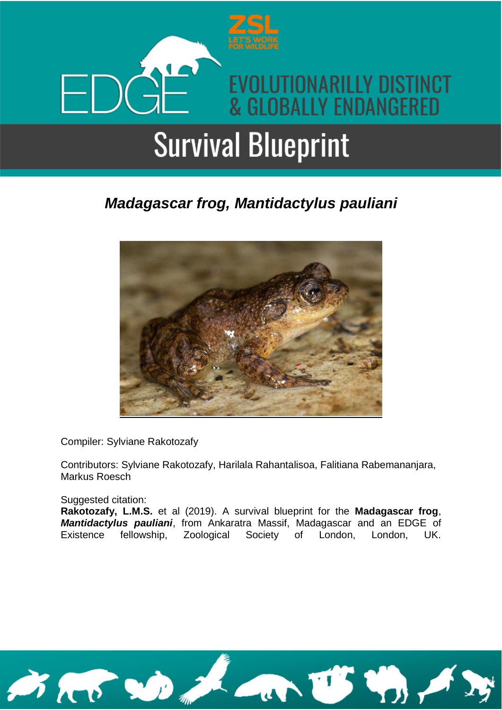

### *Madagascar frog, Mantidactylus pauliani*



Compiler: Sylviane Rakotozafy

Contributors: Sylviane Rakotozafy, Harilala Rahantalisoa, Falitiana Rabemananjara, Markus Roesch

Suggested citation:

**Rakotozafy, L.M.S.** et al (2019). A survival blueprint for the **Madagascar frog**, *Mantidactylus pauliani*, from Ankaratra Massif, Madagascar and an EDGE of Existence fellowship, Zoological Society of London, London, UK.

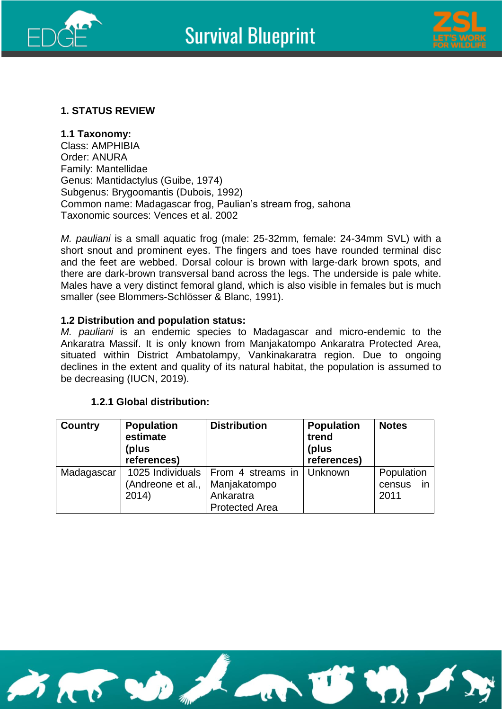



#### **1. STATUS REVIEW**

**1.1 Taxonomy:** 

Class: AMPHIBIA Order: ANURA Family: Mantellidae Genus: Mantidactylus (Guibe, 1974) Subgenus: Brygoomantis (Dubois, 1992) Common name: Madagascar frog, Paulian's stream frog, sahona Taxonomic sources: Vences et al. 2002

*M. pauliani* is a small aquatic frog (male: 25-32mm, female: 24-34mm SVL) with a short snout and prominent eyes. The fingers and toes have rounded terminal disc and the feet are webbed. Dorsal colour is brown with large-dark brown spots, and there are dark-brown transversal band across the legs. The underside is pale white. Males have a very distinct femoral gland, which is also visible in females but is much smaller (see Blommers-Schlösser & Blanc, 1991).

#### **1.2 Distribution and population status:**

*M. pauliani* is an endemic species to Madagascar and micro-endemic to the Ankaratra Massif. It is only known from Manjakatompo Ankaratra Protected Area, situated within District Ambatolampy, Vankinakaratra region. Due to ongoing declines in the extent and quality of its natural habitat, the population is assumed to be decreasing (IUCN, 2019).

#### **1.2.1 Global distribution:**

| <b>Country</b> | <b>Population</b><br>estimate<br>(plus<br>references) | <b>Distribution</b>                                  | <b>Population</b><br>trend<br>(plus<br>references) | <b>Notes</b>         |
|----------------|-------------------------------------------------------|------------------------------------------------------|----------------------------------------------------|----------------------|
| Madagascar     | (Andreone et al.,                                     | 1025 Individuals   From 4 streams in<br>Manjakatompo | Unknown                                            | Population<br>census |
|                | 2014)                                                 | Ankaratra<br><b>Protected Area</b>                   |                                                    | 2011                 |

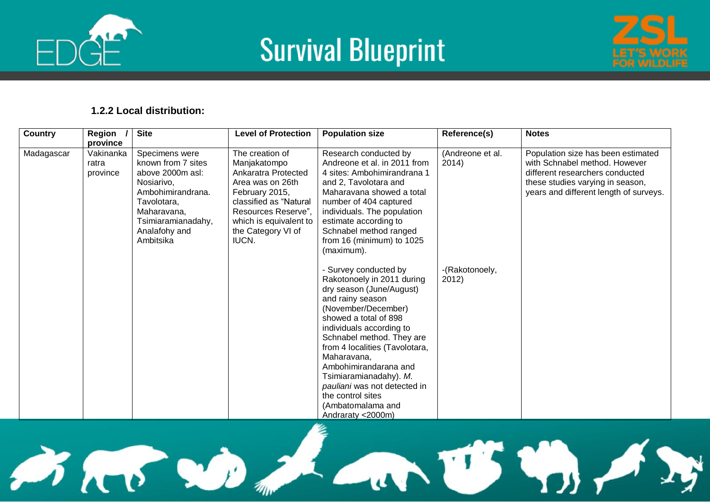





#### **1.2.2 Local distribution:**

| Country    | Region<br>province             | <b>Site</b>                                                                                                                                                                   | <b>Level of Protection</b>                                                                                                                                                                             | <b>Population size</b>                                                                                                                                                                                                                                                                                                                                                                                          | Reference(s)              | <b>Notes</b>                                                                                                                                                                         |
|------------|--------------------------------|-------------------------------------------------------------------------------------------------------------------------------------------------------------------------------|--------------------------------------------------------------------------------------------------------------------------------------------------------------------------------------------------------|-----------------------------------------------------------------------------------------------------------------------------------------------------------------------------------------------------------------------------------------------------------------------------------------------------------------------------------------------------------------------------------------------------------------|---------------------------|--------------------------------------------------------------------------------------------------------------------------------------------------------------------------------------|
| Madagascar | Vakinanka<br>ratra<br>province | Specimens were<br>known from 7 sites<br>above 2000m asl:<br>Nosiarivo,<br>Ambohimirandrana.<br>Tavolotara.<br>Maharavana,<br>Tsimiaramianadahy,<br>Analafohy and<br>Ambitsika | The creation of<br>Manjakatompo<br>Ankaratra Protected<br>Area was on 26th<br>February 2015,<br>classified as "Natural<br>Resources Reserve",<br>which is equivalent to<br>the Category VI of<br>IUCN. | Research conducted by<br>Andreone et al. in 2011 from<br>4 sites: Ambohimirandrana 1<br>and 2, Tavolotara and<br>Maharavana showed a total<br>number of 404 captured<br>individuals. The population<br>estimate according to<br>Schnabel method ranged<br>from 16 (minimum) to 1025<br>(maximum).                                                                                                               | (Andreone et al.<br>2014) | Population size has been estimated<br>with Schnabel method. However<br>different researchers conducted<br>these studies varying in season,<br>years and different length of surveys. |
|            |                                |                                                                                                                                                                               |                                                                                                                                                                                                        | - Survey conducted by<br>Rakotonoely in 2011 during<br>dry season (June/August)<br>and rainy season<br>(November/December)<br>showed a total of 898<br>individuals according to<br>Schnabel method. They are<br>from 4 localities (Tavolotara,<br>Maharavana,<br>Ambohimirandarana and<br>Tsimiaramianadahy). M.<br>pauliani was not detected in<br>the control sites<br>(Ambatomalama and<br>Andraraty <2000m) | -(Rakotonoely,<br>2012)   |                                                                                                                                                                                      |

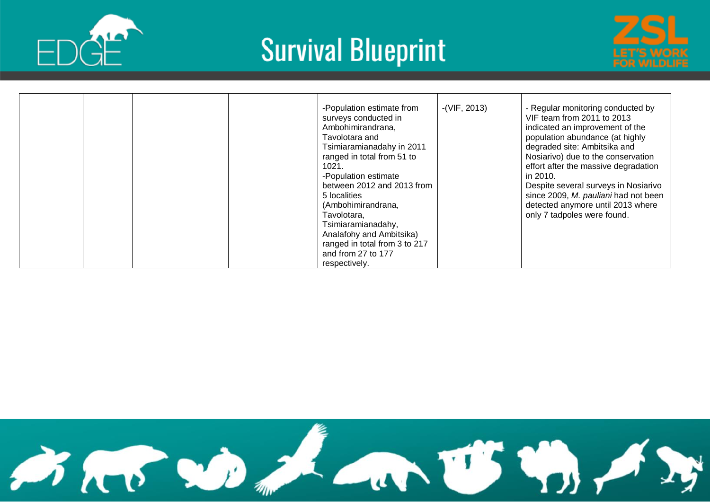





|  | $-(VIF, 2013)$<br>-Population estimate from<br>surveys conducted in<br>Ambohimirandrana,<br>Tavolotara and<br>Tsimiaramianadahy in 2011<br>ranged in total from 51 to<br>1021.<br>-Population estimate<br>between 2012 and 2013 from<br>5 localities<br>(Ambohimirandrana,<br>Tavolotara,<br>Tsimiaramianadahy,<br>Analafohy and Ambitsika)<br>ranged in total from 3 to 217<br>and from 27 to 177<br>respectively. | - Regular monitoring conducted by<br>VIF team from 2011 to 2013<br>indicated an improvement of the<br>population abundance (at highly<br>degraded site: Ambitsika and<br>Nosiarivo) due to the conservation<br>effort after the massive degradation<br>in 2010.<br>Despite several surveys in Nosiarivo<br>since 2009, M. pauliani had not been<br>detected anymore until 2013 where<br>only 7 tadpoles were found. |
|--|---------------------------------------------------------------------------------------------------------------------------------------------------------------------------------------------------------------------------------------------------------------------------------------------------------------------------------------------------------------------------------------------------------------------|---------------------------------------------------------------------------------------------------------------------------------------------------------------------------------------------------------------------------------------------------------------------------------------------------------------------------------------------------------------------------------------------------------------------|
|--|---------------------------------------------------------------------------------------------------------------------------------------------------------------------------------------------------------------------------------------------------------------------------------------------------------------------------------------------------------------------------------------------------------------------|---------------------------------------------------------------------------------------------------------------------------------------------------------------------------------------------------------------------------------------------------------------------------------------------------------------------------------------------------------------------------------------------------------------------|

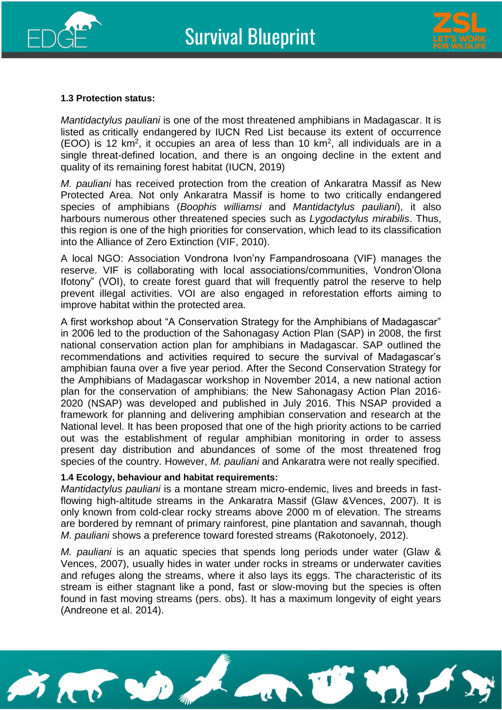



#### **1.3 Protection status:**

*Mantidactylus pauliani* is one of the most threatened amphibians in Madagascar. It is listed as critically endangered by IUCN Red List because its extent of occurrence  $(EOO)$  is 12 km<sup>2</sup>, it occupies an area of less than 10 km<sup>2</sup>, all individuals are in a single threat-defined location, and there is an ongoing decline in the extent and quality of its remaining forest habitat (IUCN, 2019)

*M. pauliani* has received protection from the creation of Ankaratra Massif as New Protected Area. Not only Ankaratra Massif is home to two critically endangered species of amphibians (*Boophis williamsi* and *Mantidactylus pauliani*), it also harbours numerous other threatened species such as *Lygodactylus mirabilis*. Thus, this region is one of the high priorities for conservation, which lead to its classification into the Alliance of Zero Extinction (VIF, 2010).

A local NGO: Association Vondrona Ivon'ny Fampandrosoana (VIF) manages the reserve. VIF is collaborating with local associations/communities, Vondron'Olona Ifotony" (VOI), to create forest guard that will frequently patrol the reserve to help prevent illegal activities. VOI are also engaged in reforestation efforts aiming to improve habitat within the protected area.

A first workshop about "A Conservation Strategy for the Amphibians of Madagascar" in 2006 led to the production of the Sahonagasy Action Plan (SAP) in 2008, the first national conservation action plan for amphibians in Madagascar. SAP outlined the recommendations and activities required to secure the survival of Madagascar's amphibian fauna over a five year period. After the Second Conservation Strategy for the Amphibians of Madagascar workshop in November 2014, a new national action plan for the conservation of amphibians: the New Sahonagasy Action Plan 2016- 2020 (NSAP) was developed and published in July 2016. This NSAP provided a framework for planning and delivering amphibian conservation and research at the National level. It has been proposed that one of the high priority actions to be carried out was the establishment of regular amphibian monitoring in order to assess present day distribution and abundances of some of the most threatened frog species of the country. However, *M. pauliani* and Ankaratra were not really specified.

#### **1.4 Ecology, behaviour and habitat requirements:**

*Mantidactylus pauliani* is a montane stream micro-endemic, lives and breeds in fastflowing high-altitude streams in the Ankaratra Massif (Glaw &Vences, 2007). It is only known from cold-clear rocky streams above 2000 m of elevation. The streams are bordered by remnant of primary rainforest, pine plantation and savannah, though *M. pauliani* shows a preference toward forested streams (Rakotonoely, 2012).

*M. pauliani* is an aquatic species that spends long periods under water (Glaw & Vences, 2007), usually hides in water under rocks in streams or underwater cavities and refuges along the streams, where it also lays its eggs. The characteristic of its stream is either stagnant like a pond, fast or slow-moving but the species is often found in fast moving streams (pers. obs). It has a maximum longevity of eight years (Andreone et al. 2014).

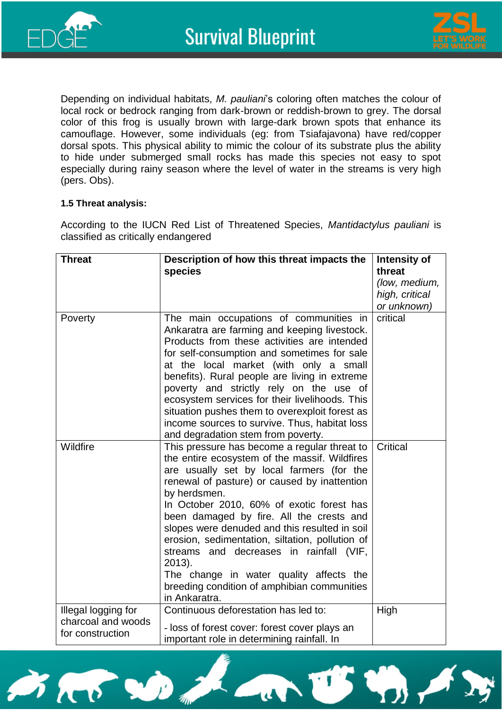



Depending on individual habitats, *M. pauliani*'s coloring often matches the colour of local rock or bedrock ranging from dark-brown or reddish-brown to grey. The dorsal color of this frog is usually brown with large-dark brown spots that enhance its camouflage. However, some individuals (eg: from Tsiafajavona) have red/copper dorsal spots. This physical ability to mimic the colour of its substrate plus the ability to hide under submerged small rocks has made this species not easy to spot especially during rainy season where the level of water in the streams is very high (pers. Obs).

#### **1.5 Threat analysis:**

According to the IUCN Red List of Threatened Species, *Mantidactylus pauliani* is classified as critically endangered

| <b>Threat</b>                                                 | Description of how this threat impacts the<br>species                                                                                                                                                                                                                                                                                                                                                                                                                                                                                                                   | Intensity of<br>threat<br>(low, medium, |
|---------------------------------------------------------------|-------------------------------------------------------------------------------------------------------------------------------------------------------------------------------------------------------------------------------------------------------------------------------------------------------------------------------------------------------------------------------------------------------------------------------------------------------------------------------------------------------------------------------------------------------------------------|-----------------------------------------|
|                                                               |                                                                                                                                                                                                                                                                                                                                                                                                                                                                                                                                                                         | high, critical<br>or unknown)           |
| Poverty                                                       | The main occupations of communities in<br>Ankaratra are farming and keeping livestock.<br>Products from these activities are intended<br>for self-consumption and sometimes for sale<br>at the local market (with only a small<br>benefits). Rural people are living in extreme<br>poverty and strictly rely on the use of<br>ecosystem services for their livelihoods. This<br>situation pushes them to overexploit forest as<br>income sources to survive. Thus, habitat loss<br>and degradation stem from poverty.                                                   | critical                                |
| Wildfire                                                      | This pressure has become a regular threat to<br>the entire ecosystem of the massif. Wildfires<br>are usually set by local farmers (for the<br>renewal of pasture) or caused by inattention<br>by herdsmen.<br>In October 2010, 60% of exotic forest has<br>been damaged by fire. All the crests and<br>slopes were denuded and this resulted in soil<br>erosion, sedimentation, siltation, pollution of<br>streams and decreases in rainfall (VIF,<br>2013).<br>The change in water quality affects the<br>breeding condition of amphibian communities<br>in Ankaratra. | <b>Critical</b>                         |
| Illegal logging for<br>charcoal and woods<br>for construction | Continuous deforestation has led to:<br>- loss of forest cover: forest cover plays an<br>important role in determining rainfall. In                                                                                                                                                                                                                                                                                                                                                                                                                                     | High                                    |

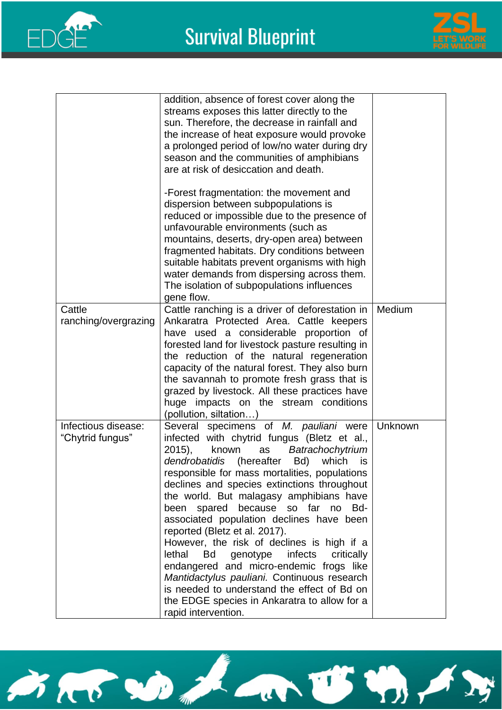



|                                         | addition, absence of forest cover along the<br>streams exposes this latter directly to the<br>sun. Therefore, the decrease in rainfall and<br>the increase of heat exposure would provoke                                                                                                                                                                                                                                                                                                                                                                                                                                                                                                                                                                                    |         |
|-----------------------------------------|------------------------------------------------------------------------------------------------------------------------------------------------------------------------------------------------------------------------------------------------------------------------------------------------------------------------------------------------------------------------------------------------------------------------------------------------------------------------------------------------------------------------------------------------------------------------------------------------------------------------------------------------------------------------------------------------------------------------------------------------------------------------------|---------|
|                                         | a prolonged period of low/no water during dry<br>season and the communities of amphibians<br>are at risk of desiccation and death.                                                                                                                                                                                                                                                                                                                                                                                                                                                                                                                                                                                                                                           |         |
|                                         | -Forest fragmentation: the movement and<br>dispersion between subpopulations is<br>reduced or impossible due to the presence of<br>unfavourable environments (such as<br>mountains, deserts, dry-open area) between<br>fragmented habitats. Dry conditions between<br>suitable habitats prevent organisms with high<br>water demands from dispersing across them.<br>The isolation of subpopulations influences                                                                                                                                                                                                                                                                                                                                                              |         |
| Cattle                                  | gene flow.<br>Cattle ranching is a driver of deforestation in                                                                                                                                                                                                                                                                                                                                                                                                                                                                                                                                                                                                                                                                                                                | Medium  |
| ranching/overgrazing                    | Ankaratra Protected Area. Cattle keepers<br>have used a considerable proportion of<br>forested land for livestock pasture resulting in<br>the reduction of the natural regeneration<br>capacity of the natural forest. They also burn<br>the savannah to promote fresh grass that is<br>grazed by livestock. All these practices have<br>huge impacts on the stream conditions<br>(pollution, siltation)                                                                                                                                                                                                                                                                                                                                                                     |         |
| Infectious disease:<br>"Chytrid fungus" | Several specimens of M. pauliani were<br>infected with chytrid fungus (Bletz et al.,<br>2015),<br>known<br>Batrachochytrium<br>as<br>(hereafter<br>dendrobatidis<br>which<br>Bd)<br>is<br>responsible for mass mortalities, populations<br>declines and species extinctions throughout<br>the world. But malagasy amphibians have<br>because so far no<br>been spared<br>Bd-<br>associated population declines have been<br>reported (Bletz et al. 2017).<br>However, the risk of declines is high if a<br>lethal<br>infects<br>Bd<br>genotype<br>critically<br>endangered and micro-endemic frogs like<br>Mantidactylus pauliani. Continuous research<br>is needed to understand the effect of Bd on<br>the EDGE species in Ankaratra to allow for a<br>rapid intervention. | Unknown |

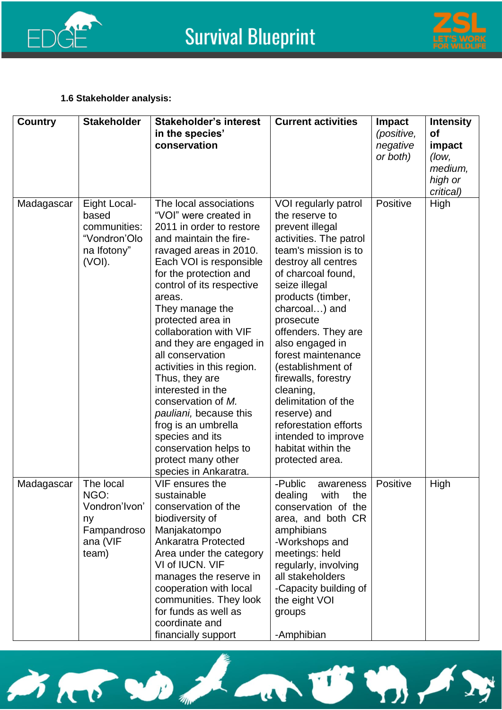



#### **1.6 Stakeholder analysis:**

| <b>Country</b> | <b>Stakeholder</b>                                                             | <b>Stakeholder's interest</b><br>in the species'<br>conservation                                                                                                                                                                                                                                                                                                                                                                                                                                                                                                                    | <b>Current activities</b>                                                                                                                                                                                                                                                                                                                                                                                                                                                             | Impact<br>(positive,<br>negative<br>or both) | <b>Intensity</b><br><b>of</b><br>impact<br>(low,<br>medium,<br>high or<br>critical) |
|----------------|--------------------------------------------------------------------------------|-------------------------------------------------------------------------------------------------------------------------------------------------------------------------------------------------------------------------------------------------------------------------------------------------------------------------------------------------------------------------------------------------------------------------------------------------------------------------------------------------------------------------------------------------------------------------------------|---------------------------------------------------------------------------------------------------------------------------------------------------------------------------------------------------------------------------------------------------------------------------------------------------------------------------------------------------------------------------------------------------------------------------------------------------------------------------------------|----------------------------------------------|-------------------------------------------------------------------------------------|
| Madagascar     | Eight Local-<br>based<br>communities:<br>"Vondron'Olo<br>na Ifotony"<br>(VOI). | The local associations<br>"VOI" were created in<br>2011 in order to restore<br>and maintain the fire-<br>ravaged areas in 2010.<br>Each VOI is responsible<br>for the protection and<br>control of its respective<br>areas.<br>They manage the<br>protected area in<br>collaboration with VIF<br>and they are engaged in<br>all conservation<br>activities in this region.<br>Thus, they are<br>interested in the<br>conservation of M.<br>pauliani, because this<br>frog is an umbrella<br>species and its<br>conservation helps to<br>protect many other<br>species in Ankaratra. | VOI regularly patrol<br>the reserve to<br>prevent illegal<br>activities. The patrol<br>team's mission is to<br>destroy all centres<br>of charcoal found,<br>seize illegal<br>products (timber,<br>charcoal) and<br>prosecute<br>offenders. They are<br>also engaged in<br>forest maintenance<br>(establishment of<br>firewalls, forestry<br>cleaning,<br>delimitation of the<br>reserve) and<br>reforestation efforts<br>intended to improve<br>habitat within the<br>protected area. | Positive                                     | High                                                                                |
| Madagascar     | The local<br>NGO:<br>Vondron'lvon'<br>ny<br>Fampandroso<br>ana (VIF<br>team)   | VIF ensures the<br>sustainable<br>conservation of the<br>biodiversity of<br>Manjakatompo<br><b>Ankaratra Protected</b><br>Area under the category<br>VI of IUCN, VIF<br>manages the reserve in<br>cooperation with local<br>communities. They look<br>for funds as well as<br>coordinate and<br>financially support                                                                                                                                                                                                                                                                 | -Public<br>awareness<br>with<br>dealing<br>the<br>conservation of the<br>area, and both CR<br>amphibians<br>-Workshops and<br>meetings: held<br>regularly, involving<br>all stakeholders<br>-Capacity building of<br>the eight VOI<br>groups<br>-Amphibian                                                                                                                                                                                                                            | Positive                                     | High                                                                                |

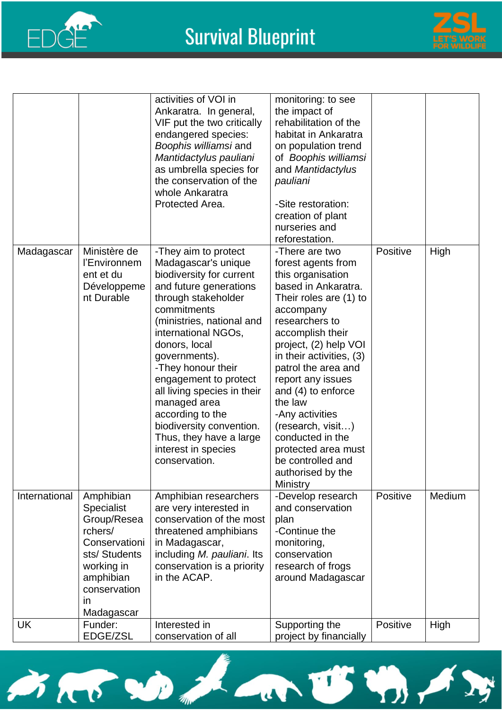



|               |                                                                                                                                                          | activities of VOI in<br>Ankaratra. In general,<br>VIF put the two critically<br>endangered species:<br>Boophis williamsi and<br>Mantidactylus pauliani<br>as umbrella species for<br>the conservation of the<br>whole Ankaratra<br>Protected Area.                                                                                                                                                                                             | monitoring: to see<br>the impact of<br>rehabilitation of the<br>habitat in Ankaratra<br>on population trend<br>of Boophis williamsi<br>and Mantidactylus<br>pauliani<br>-Site restoration:<br>creation of plant<br>nurseries and<br>reforestation.                                                                                                                                                                                       |          |        |
|---------------|----------------------------------------------------------------------------------------------------------------------------------------------------------|------------------------------------------------------------------------------------------------------------------------------------------------------------------------------------------------------------------------------------------------------------------------------------------------------------------------------------------------------------------------------------------------------------------------------------------------|------------------------------------------------------------------------------------------------------------------------------------------------------------------------------------------------------------------------------------------------------------------------------------------------------------------------------------------------------------------------------------------------------------------------------------------|----------|--------|
| Madagascar    | Ministère de<br>l'Environnem<br>ent et du<br>Développeme<br>nt Durable                                                                                   | -They aim to protect<br>Madagascar's unique<br>biodiversity for current<br>and future generations<br>through stakeholder<br>commitments<br>(ministries, national and<br>international NGOs,<br>donors, local<br>governments).<br>-They honour their<br>engagement to protect<br>all living species in their<br>managed area<br>according to the<br>biodiversity convention.<br>Thus, they have a large<br>interest in species<br>conservation. | -There are two<br>forest agents from<br>this organisation<br>based in Ankaratra.<br>Their roles are (1) to<br>accompany<br>researchers to<br>accomplish their<br>project, (2) help VOI<br>in their activities, (3)<br>patrol the area and<br>report any issues<br>and (4) to enforce<br>the law<br>-Any activities<br>(research, visit)<br>conducted in the<br>protected area must<br>be controlled and<br>authorised by the<br>Ministry | Positive | High   |
| International | Amphibian<br><b>Specialist</b><br>Group/Resea<br>rchers/<br>Conservationi<br>sts/Students<br>working in<br>amphibian<br>conservation<br>in<br>Madagascar | Amphibian researchers<br>are very interested in<br>conservation of the most<br>threatened amphibians<br>in Madagascar,<br>including M. pauliani. Its<br>conservation is a priority<br>in the ACAP.                                                                                                                                                                                                                                             | -Develop research<br>and conservation<br>plan<br>-Continue the<br>monitoring,<br>conservation<br>research of frogs<br>around Madagascar                                                                                                                                                                                                                                                                                                  | Positive | Medium |
| <b>UK</b>     | Funder:<br>EDGE/ZSL                                                                                                                                      | Interested in<br>conservation of all                                                                                                                                                                                                                                                                                                                                                                                                           | Supporting the<br>project by financially                                                                                                                                                                                                                                                                                                                                                                                                 | Positive | High   |

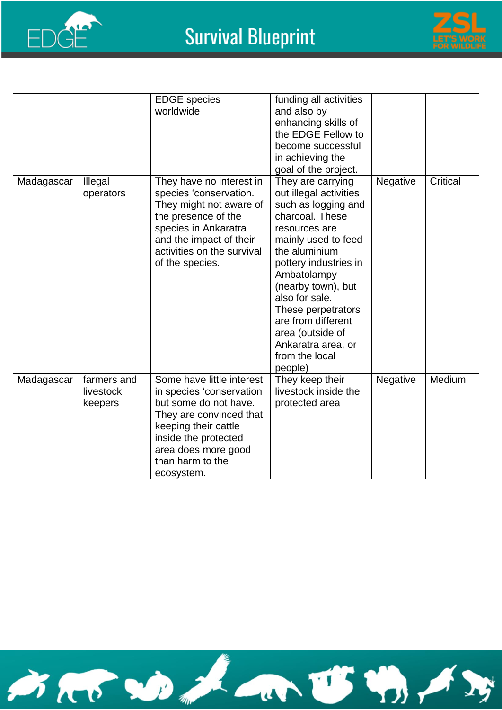



|            |                                     | <b>EDGE</b> species<br>worldwide                                                                                                                                                                                   | funding all activities<br>and also by<br>enhancing skills of<br>the EDGE Fellow to<br>become successful<br>in achieving the<br>goal of the project.                                                                                                                                                                                               |          |          |
|------------|-------------------------------------|--------------------------------------------------------------------------------------------------------------------------------------------------------------------------------------------------------------------|---------------------------------------------------------------------------------------------------------------------------------------------------------------------------------------------------------------------------------------------------------------------------------------------------------------------------------------------------|----------|----------|
| Madagascar | Illegal<br>operators                | They have no interest in<br>species 'conservation.<br>They might not aware of<br>the presence of the<br>species in Ankaratra<br>and the impact of their<br>activities on the survival<br>of the species.           | They are carrying<br>out illegal activities<br>such as logging and<br>charcoal. These<br>resources are<br>mainly used to feed<br>the aluminium<br>pottery industries in<br>Ambatolampy<br>(nearby town), but<br>also for sale.<br>These perpetrators<br>are from different<br>area (outside of<br>Ankaratra area, or<br>from the local<br>people) | Negative | Critical |
| Madagascar | farmers and<br>livestock<br>keepers | Some have little interest<br>in species 'conservation<br>but some do not have.<br>They are convinced that<br>keeping their cattle<br>inside the protected<br>area does more good<br>than harm to the<br>ecosystem. | They keep their<br>livestock inside the<br>protected area                                                                                                                                                                                                                                                                                         | Negative | Medium   |

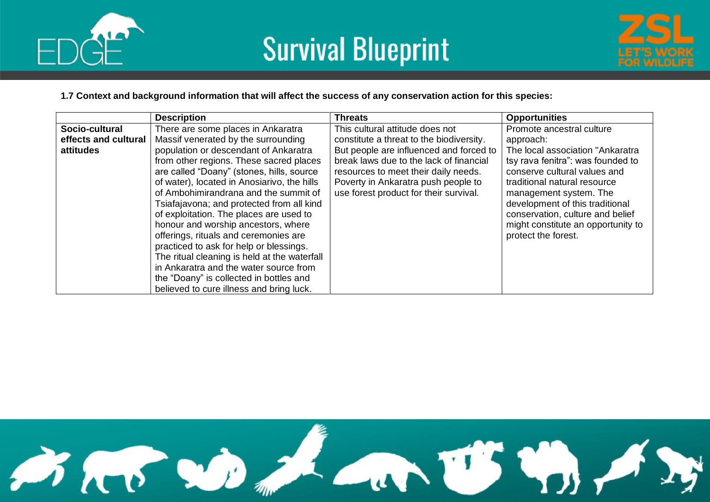



#### **1.7 Context and background information that will affect the success of any conservation action for this species:**

|                      | <b>Description</b>                           | <b>Threats</b>                           | <b>Opportunities</b>               |
|----------------------|----------------------------------------------|------------------------------------------|------------------------------------|
| Socio-cultural       | There are some places in Ankaratra           | This cultural attitude does not          | Promote ancestral culture          |
| effects and cultural | Massif venerated by the surrounding          | constitute a threat to the biodiversity. | approach:                          |
| attitudes            | population or descendant of Ankaratra        | But people are influenced and forced to  | The local association "Ankaratra   |
|                      | from other regions. These sacred places      | break laws due to the lack of financial  | tsy rava fenitra": was founded to  |
|                      | are called "Doany" (stones, hills, source    | resources to meet their daily needs.     | conserve cultural values and       |
|                      | of water), located in Anosiarivo, the hills  | Poverty in Ankaratra push people to      | traditional natural resource       |
|                      | of Ambohimirandrana and the summit of        | use forest product for their survival.   | management system. The             |
|                      | Tsiafajavona; and protected from all kind    |                                          | development of this traditional    |
|                      | of exploitation. The places are used to      |                                          | conservation, culture and belief   |
|                      | honour and worship ancestors, where          |                                          | might constitute an opportunity to |
|                      | offerings, rituals and ceremonies are        |                                          | protect the forest.                |
|                      | practiced to ask for help or blessings.      |                                          |                                    |
|                      | The ritual cleaning is held at the waterfall |                                          |                                    |
|                      | in Ankaratra and the water source from       |                                          |                                    |
|                      | the "Doany" is collected in bottles and      |                                          |                                    |
|                      | believed to cure illness and bring luck.     |                                          |                                    |

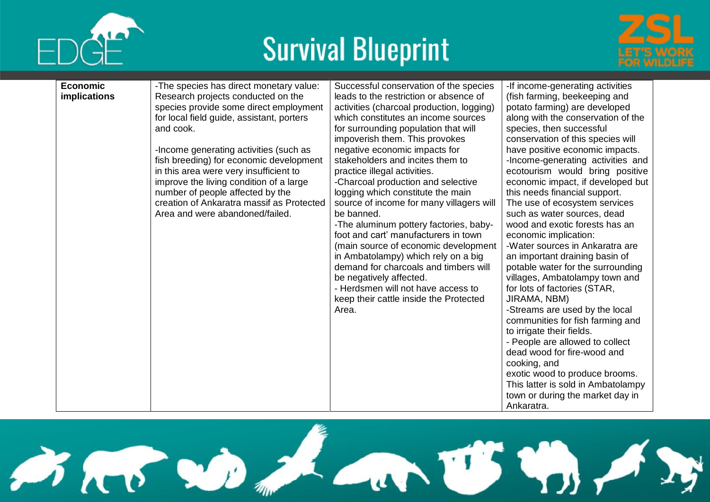





| <b>Economic</b>     | -The species has direct monetary value:   | Successful conservation of the species    | -If income-generating activities   |
|---------------------|-------------------------------------------|-------------------------------------------|------------------------------------|
| <b>implications</b> | Research projects conducted on the        | leads to the restriction or absence of    | (fish farming, beekeeping and      |
|                     | species provide some direct employment    | activities (charcoal production, logging) | potato farming) are developed      |
|                     | for local field guide, assistant, porters | which constitutes an income sources       | along with the conservation of the |
|                     | and cook.                                 | for surrounding population that will      | species, then successful           |
|                     |                                           | impoverish them. This provokes            | conservation of this species will  |
|                     | -Income generating activities (such as    | negative economic impacts for             | have positive economic impacts.    |
|                     | fish breeding) for economic development   | stakeholders and incites them to          | -Income-generating activities and  |
|                     | in this area were very insufficient to    | practice illegal activities.              | ecotourism would bring positive    |
|                     | improve the living condition of a large   | -Charcoal production and selective        | economic impact, if developed but  |
|                     | number of people affected by the          | logging which constitute the main         | this needs financial support.      |
|                     | creation of Ankaratra massif as Protected | source of income for many villagers will  | The use of ecosystem services      |
|                     | Area and were abandoned/failed.           | be banned.                                | such as water sources, dead        |
|                     |                                           | -The aluminum pottery factories, baby-    | wood and exotic forests has an     |
|                     |                                           | foot and cart' manufacturers in town      | economic implication:              |
|                     |                                           | (main source of economic development      | -Water sources in Ankaratra are    |
|                     |                                           | in Ambatolampy) which rely on a big       | an important draining basin of     |
|                     |                                           | demand for charcoals and timbers will     | potable water for the surrounding  |
|                     |                                           | be negatively affected.                   | villages, Ambatolampy town and     |
|                     |                                           | - Herdsmen will not have access to        | for lots of factories (STAR,       |
|                     |                                           | keep their cattle inside the Protected    | JIRAMA, NBM)                       |
|                     |                                           | Area.                                     | -Streams are used by the local     |
|                     |                                           |                                           | communities for fish farming and   |
|                     |                                           |                                           | to irrigate their fields.          |
|                     |                                           |                                           | - People are allowed to collect    |
|                     |                                           |                                           | dead wood for fire-wood and        |
|                     |                                           |                                           | cooking, and                       |
|                     |                                           |                                           | exotic wood to produce brooms.     |
|                     |                                           |                                           | This latter is sold in Ambatolampy |
|                     |                                           |                                           | town or during the market day in   |
|                     |                                           |                                           | Ankaratra.                         |

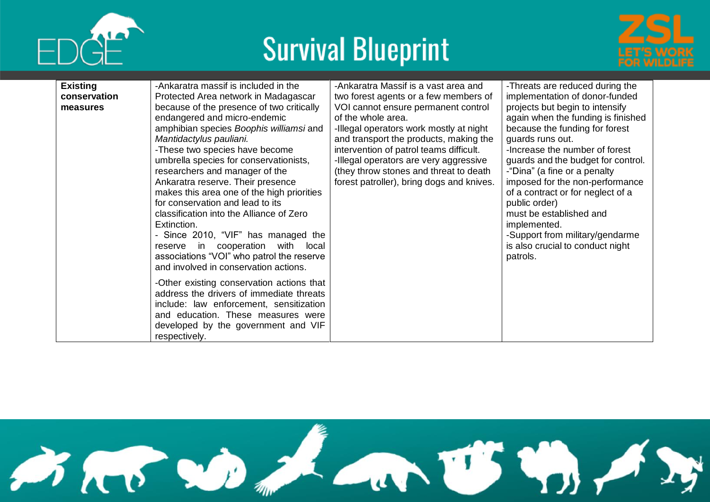



| <b>Existing</b><br>conservation<br>measures | -Ankaratra massif is included in the<br>Protected Area network in Madagascar<br>because of the presence of two critically<br>endangered and micro-endemic<br>amphibian species Boophis williamsi and<br>Mantidactylus pauliani.<br>-These two species have become<br>umbrella species for conservationists,<br>researchers and manager of the<br>Ankaratra reserve. Their presence<br>makes this area one of the high priorities<br>for conservation and lead to its<br>classification into the Alliance of Zero<br>Extinction.<br>- Since 2010, "VIF" has managed the<br>reserve in cooperation with local<br>associations "VOI" who patrol the reserve<br>and involved in conservation actions. | -Ankaratra Massif is a vast area and<br>two forest agents or a few members of<br>VOI cannot ensure permanent control<br>of the whole area.<br>-Illegal operators work mostly at night<br>and transport the products, making the<br>intervention of patrol teams difficult.<br>-Illegal operators are very aggressive<br>(they throw stones and threat to death<br>forest patroller), bring dogs and knives. | -Threats are reduced during the<br>implementation of donor-funded<br>projects but begin to intensify<br>again when the funding is finished<br>because the funding for forest<br>guards runs out.<br>-Increase the number of forest<br>guards and the budget for control.<br>-"Dina" (a fine or a penalty<br>imposed for the non-performance<br>of a contract or for neglect of a<br>public order)<br>must be established and<br>implemented.<br>-Support from military/gendarme<br>is also crucial to conduct night<br>patrols. |
|---------------------------------------------|---------------------------------------------------------------------------------------------------------------------------------------------------------------------------------------------------------------------------------------------------------------------------------------------------------------------------------------------------------------------------------------------------------------------------------------------------------------------------------------------------------------------------------------------------------------------------------------------------------------------------------------------------------------------------------------------------|-------------------------------------------------------------------------------------------------------------------------------------------------------------------------------------------------------------------------------------------------------------------------------------------------------------------------------------------------------------------------------------------------------------|---------------------------------------------------------------------------------------------------------------------------------------------------------------------------------------------------------------------------------------------------------------------------------------------------------------------------------------------------------------------------------------------------------------------------------------------------------------------------------------------------------------------------------|
|                                             | -Other existing conservation actions that<br>address the drivers of immediate threats<br>include: law enforcement, sensitization<br>and education. These measures were<br>developed by the government and VIF<br>respectively.                                                                                                                                                                                                                                                                                                                                                                                                                                                                    |                                                                                                                                                                                                                                                                                                                                                                                                             |                                                                                                                                                                                                                                                                                                                                                                                                                                                                                                                                 |

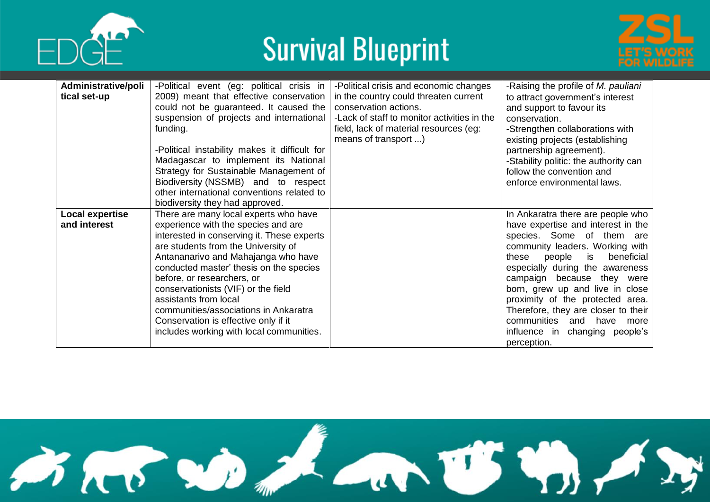





| Administrative/poli | -Political event (eg: political crisis in     | -Political crisis and economic changes      | -Raising the profile of M. pauliani    |
|---------------------|-----------------------------------------------|---------------------------------------------|----------------------------------------|
| tical set-up        | 2009) meant that effective conservation       | in the country could threaten current       | to attract government's interest       |
|                     | could not be guaranteed. It caused the        | conservation actions.                       | and support to favour its              |
|                     | suspension of projects and international      | -Lack of staff to monitor activities in the | conservation.                          |
|                     | funding.                                      | field, lack of material resources (eg:      | -Strengthen collaborations with        |
|                     |                                               | means of transport )                        | existing projects (establishing        |
|                     | -Political instability makes it difficult for |                                             | partnership agreement).                |
|                     | Madagascar to implement its National          |                                             | -Stability politic: the authority can  |
|                     | Strategy for Sustainable Management of        |                                             | follow the convention and              |
|                     | Biodiversity (NSSMB) and to respect           |                                             | enforce environmental laws.            |
|                     | other international conventions related to    |                                             |                                        |
|                     | biodiversity they had approved.               |                                             |                                        |
| Local expertise     | There are many local experts who have         |                                             | In Ankaratra there are people who      |
| and interest        | experience with the species and are           |                                             | have expertise and interest in the     |
|                     | interested in conserving it. These experts    |                                             | species. Some of them are              |
|                     | are students from the University of           |                                             | community leaders. Working with        |
|                     | Antananarivo and Mahajanga who have           |                                             | these<br>people<br>is is<br>beneficial |
|                     | conducted master' thesis on the species       |                                             | especially during the awareness        |
|                     | before, or researchers, or                    |                                             | campaign because they were             |
|                     | conservationists (VIF) or the field           |                                             | born, grew up and live in close        |
|                     | assistants from local                         |                                             | proximity of the protected area.       |
|                     | communities/associations in Ankaratra         |                                             | Therefore, they are closer to their    |
|                     | Conservation is effective only if it          |                                             | communities and have more              |
|                     | includes working with local communities.      |                                             | influence in changing people's         |
|                     |                                               |                                             | perception.                            |

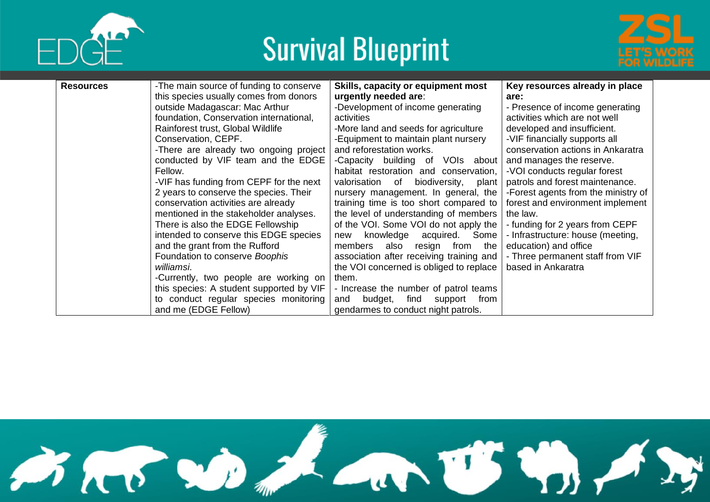





| <b>Resources</b> | -The main source of funding to conserve<br>this species usually comes from donors | Skills, capacity or equipment most<br>urgently needed are:                           | Key resources already in place<br>are:                     |
|------------------|-----------------------------------------------------------------------------------|--------------------------------------------------------------------------------------|------------------------------------------------------------|
|                  | outside Madagascar: Mac Arthur                                                    | -Development of income generating                                                    | - Presence of income generating                            |
|                  | foundation, Conservation international,                                           | activities                                                                           | activities which are not well                              |
|                  | Rainforest trust, Global Wildlife                                                 | -More land and seeds for agriculture                                                 | developed and insufficient.                                |
|                  | Conservation, CEPF.                                                               | -Equipment to maintain plant nursery                                                 | -VIF financially supports all                              |
|                  | -There are already two ongoing project                                            | and reforestation works.                                                             | conservation actions in Ankaratra                          |
|                  | conducted by VIF team and the EDGE                                                | -Capacity building of VOIs about                                                     | and manages the reserve.                                   |
|                  | Fellow.                                                                           | habitat restoration and conservation,                                                | -VOI conducts regular forest                               |
|                  | -VIF has funding from CEPF for the next                                           | biodiversity,<br>valorisation<br>of<br>plant                                         | patrols and forest maintenance.                            |
|                  | 2 years to conserve the species. Their                                            | nursery management. In general, the                                                  | -Forest agents from the ministry of                        |
|                  | conservation activities are already                                               | training time is too short compared to                                               | forest and environment implement                           |
|                  | mentioned in the stakeholder analyses.                                            | the level of understanding of members                                                | the law.                                                   |
|                  | There is also the EDGE Fellowship                                                 | of the VOI. Some VOI do not apply the                                                | - funding for 2 years from CEPF                            |
|                  | intended to conserve this EDGE species<br>and the grant from the Rufford          | knowledge<br>acquired.<br>Some<br>new                                                | - Infrastructure: house (meeting,<br>education) and office |
|                  | Foundation to conserve Boophis                                                    | resign<br>members<br>also<br>from<br>the<br>association after receiving training and | - Three permanent staff from VIF                           |
|                  | williamsi.                                                                        | the VOI concerned is obliged to replace                                              | based in Ankaratra                                         |
|                  | -Currently, two people are working on                                             | them.                                                                                |                                                            |
|                  | this species: A student supported by VIF                                          | - Increase the number of patrol teams                                                |                                                            |
|                  | to conduct regular species monitoring                                             | budget,<br>find<br>from<br>and<br>support                                            |                                                            |
|                  | and me (EDGE Fellow)                                                              | gendarmes to conduct night patrols.                                                  |                                                            |

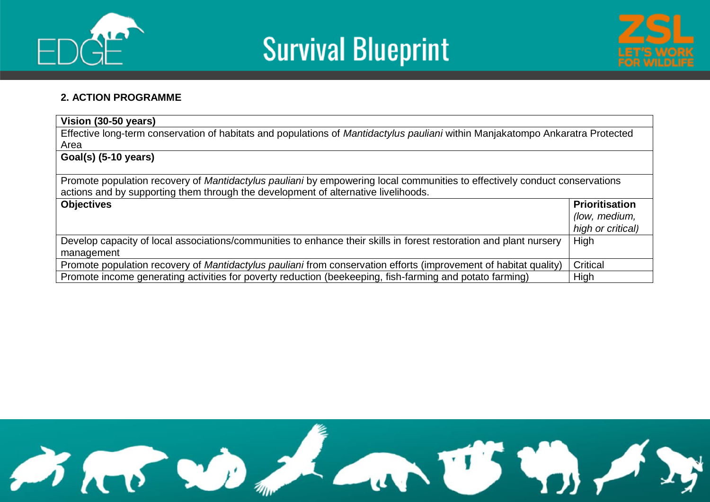





#### **2. ACTION PROGRAMME**

| Vision (30-50 years)                                                                                                           |                       |  |  |  |  |  |  |  |
|--------------------------------------------------------------------------------------------------------------------------------|-----------------------|--|--|--|--|--|--|--|
| Effective long-term conservation of habitats and populations of Mantidactylus pauliani within Manjakatompo Ankaratra Protected |                       |  |  |  |  |  |  |  |
| Area                                                                                                                           |                       |  |  |  |  |  |  |  |
| Goal(s) (5-10 years)                                                                                                           |                       |  |  |  |  |  |  |  |
|                                                                                                                                |                       |  |  |  |  |  |  |  |
| Promote population recovery of Mantidactylus pauliani by empowering local communities to effectively conduct conservations     |                       |  |  |  |  |  |  |  |
| actions and by supporting them through the development of alternative livelihoods.                                             |                       |  |  |  |  |  |  |  |
| <b>Objectives</b>                                                                                                              | <b>Prioritisation</b> |  |  |  |  |  |  |  |
|                                                                                                                                | (low, medium,         |  |  |  |  |  |  |  |
|                                                                                                                                | high or critical)     |  |  |  |  |  |  |  |
| Develop capacity of local associations/communities to enhance their skills in forest restoration and plant nursery             | High                  |  |  |  |  |  |  |  |
| management                                                                                                                     |                       |  |  |  |  |  |  |  |
| Promote population recovery of Mantidactylus pauliani from conservation efforts (improvement of habitat quality)               | Critical              |  |  |  |  |  |  |  |
| Promote income generating activities for poverty reduction (beekeeping, fish-farming and potato farming)                       | High                  |  |  |  |  |  |  |  |

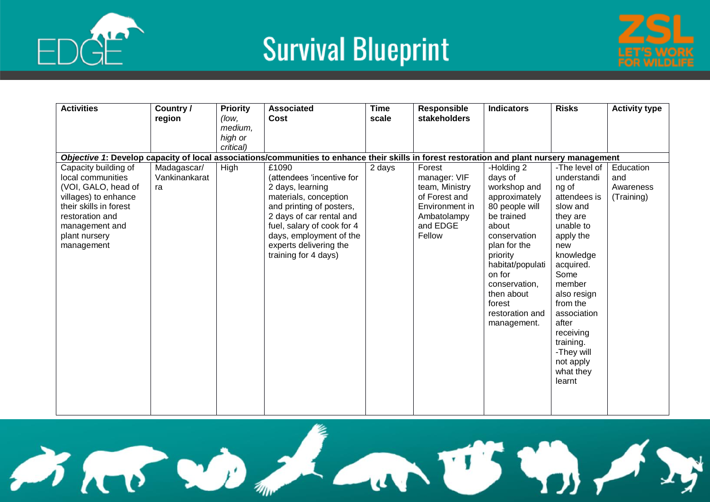



| <b>Activities</b>                           | Country /     | <b>Priority</b> | <b>Associated</b>                                                                                                                          | <b>Time</b> | <b>Responsible</b>              | <b>Indicators</b>             | <b>Risks</b>          | <b>Activity type</b>    |
|---------------------------------------------|---------------|-----------------|--------------------------------------------------------------------------------------------------------------------------------------------|-------------|---------------------------------|-------------------------------|-----------------------|-------------------------|
|                                             | region        | (low,           | Cost                                                                                                                                       | scale       | stakeholders                    |                               |                       |                         |
|                                             |               | medium,         |                                                                                                                                            |             |                                 |                               |                       |                         |
|                                             |               | high or         |                                                                                                                                            |             |                                 |                               |                       |                         |
|                                             |               | critical)       |                                                                                                                                            |             |                                 |                               |                       |                         |
|                                             |               |                 | Objective 1: Develop capacity of local associations/communities to enhance their skills in forest restoration and plant nursery management |             |                                 |                               |                       |                         |
| Capacity building of                        | Madagascar/   | High            | £1090                                                                                                                                      | 2 days      | Forest                          | -Holding 2                    | -The level of         | Education               |
| local communities                           | Vankinankarat |                 | (attendees 'incentive for                                                                                                                  |             | manager: VIF                    | days of                       | understandi           | and                     |
| (VOI, GALO, head of<br>villages) to enhance | ra            |                 | 2 days, learning<br>materials, conception                                                                                                  |             | team, Ministry<br>of Forest and | workshop and<br>approximately | ng of<br>attendees is | Awareness<br>(Training) |
| their skills in forest                      |               |                 | and printing of posters,                                                                                                                   |             | Environment in                  | 80 people will                | slow and              |                         |
| restoration and                             |               |                 | 2 days of car rental and                                                                                                                   |             | Ambatolampy                     | be trained                    | they are              |                         |
| management and                              |               |                 | fuel, salary of cook for 4                                                                                                                 |             | and EDGE                        | about                         | unable to             |                         |
| plant nursery                               |               |                 | days, employment of the                                                                                                                    |             | Fellow                          | conservation                  | apply the             |                         |
| management                                  |               |                 | experts delivering the                                                                                                                     |             |                                 | plan for the                  | new                   |                         |
|                                             |               |                 | training for 4 days)                                                                                                                       |             |                                 | priority                      | knowledge             |                         |
|                                             |               |                 |                                                                                                                                            |             |                                 | habitat/populati              | acquired.             |                         |
|                                             |               |                 |                                                                                                                                            |             |                                 | on for                        | Some                  |                         |
|                                             |               |                 |                                                                                                                                            |             |                                 | conservation,                 | member                |                         |
|                                             |               |                 |                                                                                                                                            |             |                                 | then about                    | also resign           |                         |
|                                             |               |                 |                                                                                                                                            |             |                                 | forest                        | from the              |                         |
|                                             |               |                 |                                                                                                                                            |             |                                 | restoration and               | association           |                         |
|                                             |               |                 |                                                                                                                                            |             |                                 | management.                   | after                 |                         |
|                                             |               |                 |                                                                                                                                            |             |                                 |                               | receiving             |                         |
|                                             |               |                 |                                                                                                                                            |             |                                 |                               | training.             |                         |
|                                             |               |                 |                                                                                                                                            |             |                                 |                               | -They will            |                         |
|                                             |               |                 |                                                                                                                                            |             |                                 |                               | not apply             |                         |
|                                             |               |                 |                                                                                                                                            |             |                                 |                               | what they             |                         |
|                                             |               |                 |                                                                                                                                            |             |                                 |                               | learnt                |                         |
|                                             |               |                 |                                                                                                                                            |             |                                 |                               |                       |                         |
|                                             |               |                 |                                                                                                                                            |             |                                 |                               |                       |                         |

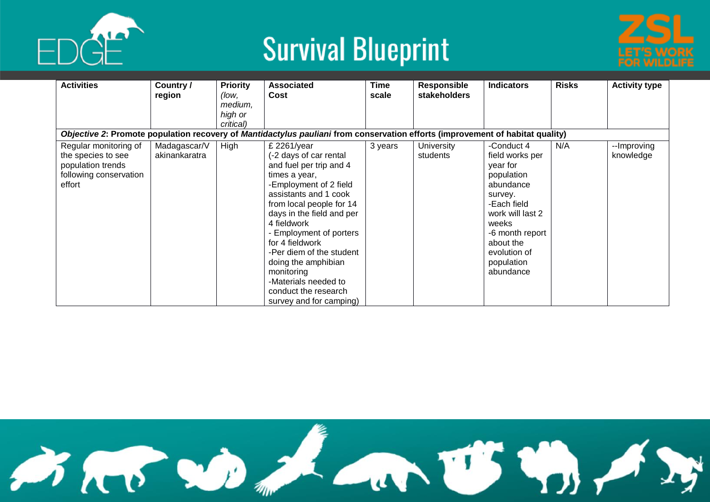



| <b>Activities</b>      | Country /<br>region | <b>Priority</b><br>(low, | <b>Associated</b><br>Cost                                                                                                     | <b>Time</b><br>scale | <b>Responsible</b><br><b>stakeholders</b> | <b>Indicators</b> | <b>Risks</b> | <b>Activity type</b> |
|------------------------|---------------------|--------------------------|-------------------------------------------------------------------------------------------------------------------------------|----------------------|-------------------------------------------|-------------------|--------------|----------------------|
|                        |                     | medium,                  |                                                                                                                               |                      |                                           |                   |              |                      |
|                        |                     | high or                  |                                                                                                                               |                      |                                           |                   |              |                      |
|                        |                     | critical)                |                                                                                                                               |                      |                                           |                   |              |                      |
|                        |                     |                          | Objective 2: Promote population recovery of Mantidactylus pauliani from conservation efforts (improvement of habitat quality) |                      |                                           |                   |              |                      |
| Regular monitoring of  | Madagascar/V        | High                     | £ 2261/year                                                                                                                   | 3 years              | University                                | -Conduct 4        | N/A          | --Improving          |
| the species to see     | akinankaratra       |                          | -2 days of car rental                                                                                                         |                      | students                                  | field works per   |              | knowledge            |
| population trends      |                     |                          | and fuel per trip and 4                                                                                                       |                      |                                           | year for          |              |                      |
| following conservation |                     |                          | times a year,                                                                                                                 |                      |                                           | population        |              |                      |
| effort                 |                     |                          | -Employment of 2 field                                                                                                        |                      |                                           | abundance         |              |                      |
|                        |                     |                          | assistants and 1 cook                                                                                                         |                      |                                           | survey.           |              |                      |
|                        |                     |                          | from local people for 14                                                                                                      |                      |                                           | -Each field       |              |                      |
|                        |                     |                          | days in the field and per                                                                                                     |                      |                                           | work will last 2  |              |                      |
|                        |                     |                          | 4 fieldwork                                                                                                                   |                      |                                           | weeks             |              |                      |
|                        |                     |                          | - Employment of porters                                                                                                       |                      |                                           | -6 month report   |              |                      |
|                        |                     |                          | for 4 fieldwork                                                                                                               |                      |                                           | about the         |              |                      |
|                        |                     |                          | -Per diem of the student                                                                                                      |                      |                                           | evolution of      |              |                      |
|                        |                     |                          | doing the amphibian                                                                                                           |                      |                                           | population        |              |                      |
|                        |                     |                          | monitoring                                                                                                                    |                      |                                           | abundance         |              |                      |
|                        |                     |                          | -Materials needed to                                                                                                          |                      |                                           |                   |              |                      |
|                        |                     |                          | conduct the research                                                                                                          |                      |                                           |                   |              |                      |
|                        |                     |                          | survey and for camping)                                                                                                       |                      |                                           |                   |              |                      |

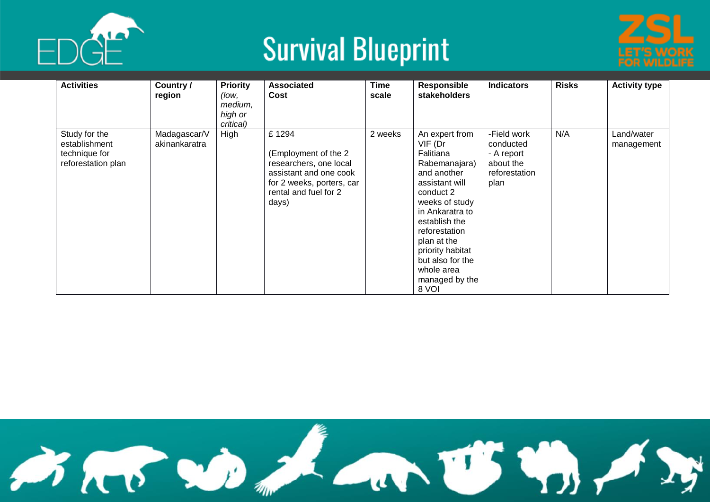



| <b>Activities</b>                                                     | Country /<br>region           | <b>Priority</b><br>(low,<br>medium,<br>high or<br>critical) | <b>Associated</b><br>Cost                                                                                                                        | Time<br>scale | <b>Responsible</b><br>stakeholders                                                                                                                                                                                                                                           | <b>Indicators</b>                                                            | <b>Risks</b> | <b>Activity type</b>     |
|-----------------------------------------------------------------------|-------------------------------|-------------------------------------------------------------|--------------------------------------------------------------------------------------------------------------------------------------------------|---------------|------------------------------------------------------------------------------------------------------------------------------------------------------------------------------------------------------------------------------------------------------------------------------|------------------------------------------------------------------------------|--------------|--------------------------|
| Study for the<br>establishment<br>technique for<br>reforestation plan | Madagascar/V<br>akinankaratra | High                                                        | £1294<br>(Employment of the 2<br>researchers, one local<br>assistant and one cook<br>for 2 weeks, porters, car<br>rental and fuel for 2<br>days) | 2 weeks       | An expert from<br>VIF (Dr<br>Falitiana<br>Rabemanajara)<br>and another<br>assistant will<br>conduct 2<br>weeks of study<br>in Ankaratra to<br>establish the<br>reforestation<br>plan at the<br>priority habitat<br>but also for the<br>whole area<br>managed by the<br>8 VOI | -Field work<br>conducted<br>- A report<br>about the<br>reforestation<br>plan | N/A          | Land/water<br>management |

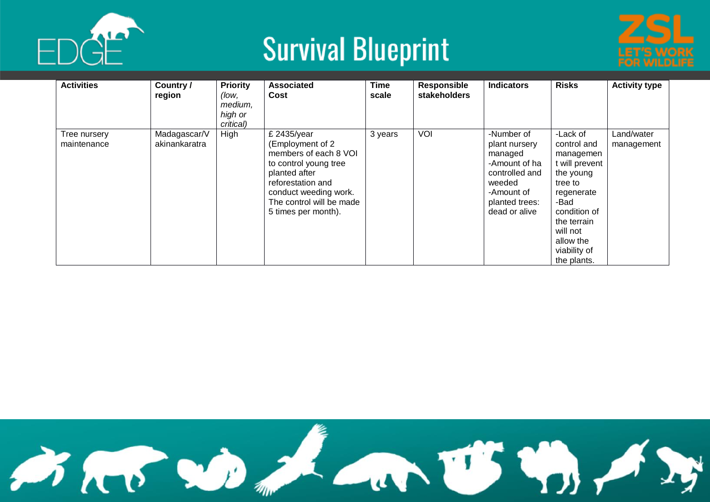



| <b>Activities</b>           | Country /<br>region           | <b>Priority</b><br>(low,<br>medium,<br>high or<br>critical) | <b>Associated</b><br>Cost                                                                                                                                                                           | <b>Time</b><br>scale | <b>Responsible</b><br><b>stakeholders</b> | <b>Indicators</b>                                                                                                                    | <b>Risks</b>                                                                                                                                                                                | <b>Activity type</b>     |
|-----------------------------|-------------------------------|-------------------------------------------------------------|-----------------------------------------------------------------------------------------------------------------------------------------------------------------------------------------------------|----------------------|-------------------------------------------|--------------------------------------------------------------------------------------------------------------------------------------|---------------------------------------------------------------------------------------------------------------------------------------------------------------------------------------------|--------------------------|
| Tree nursery<br>maintenance | Madagascar/V<br>akinankaratra | High                                                        | £ 2435/year<br>(Employment of 2<br>members of each 8 VOI<br>to control young tree<br>planted after<br>reforestation and<br>conduct weeding work.<br>The control will be made<br>5 times per month). | 3 years              | VOI                                       | -Number of<br>plant nursery<br>managed<br>-Amount of ha<br>controlled and<br>weeded<br>-Amount of<br>planted trees:<br>dead or alive | -Lack of<br>control and<br>managemen<br>t will prevent<br>the young<br>tree to<br>regenerate<br>-Bad<br>condition of<br>the terrain<br>will not<br>allow the<br>viability of<br>the plants. | Land/water<br>management |

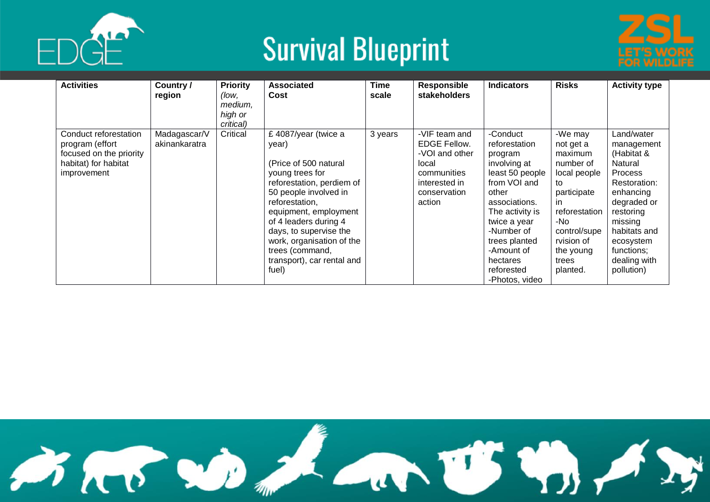



| <b>Activities</b>                                                                                          | Country/<br>region            | <b>Priority</b><br>(low,<br>medium,<br>high or<br>critical) | <b>Associated</b><br>Cost                                                                                                                                                                                                                                                                                            | <b>Time</b><br>scale | Responsible<br>stakeholders                                                                                               | <b>Indicators</b>                                                                                                                                                                                                                             | <b>Risks</b>                                                                                                                                                                     | <b>Activity type</b>                                                                                                                                                                                             |
|------------------------------------------------------------------------------------------------------------|-------------------------------|-------------------------------------------------------------|----------------------------------------------------------------------------------------------------------------------------------------------------------------------------------------------------------------------------------------------------------------------------------------------------------------------|----------------------|---------------------------------------------------------------------------------------------------------------------------|-----------------------------------------------------------------------------------------------------------------------------------------------------------------------------------------------------------------------------------------------|----------------------------------------------------------------------------------------------------------------------------------------------------------------------------------|------------------------------------------------------------------------------------------------------------------------------------------------------------------------------------------------------------------|
| Conduct reforestation<br>program (effort<br>focused on the priority<br>habitat) for habitat<br>improvement | Madagascar/V<br>akinankaratra | Critical                                                    | £4087/year (twice a<br>year)<br>(Price of 500 natural)<br>young trees for<br>reforestation, perdiem of<br>50 people involved in<br>reforestation,<br>equipment, employment<br>of 4 leaders during 4<br>days, to supervise the<br>work, organisation of the<br>trees (command,<br>transport), car rental and<br>fuel) | 3 years              | -VIF team and<br><b>EDGE Fellow.</b><br>-VOI and other<br>local<br>communities<br>interested in<br>conservation<br>action | -Conduct<br>reforestation<br>program<br>involving at<br>least 50 people<br>from VOI and<br>other<br>associations.<br>The activity is<br>twice a year<br>-Number of<br>trees planted<br>-Amount of<br>hectares<br>reforested<br>-Photos, video | -We may<br>not get a<br>maximum<br>number of<br>local people<br>to<br>participate<br>in.<br>reforestation<br>-No<br>control/supe<br>rvision of<br>the young<br>trees<br>planted. | Land/water<br>management<br>(Habitat &<br>Natural<br><b>Process</b><br>Restoration:<br>enhancing<br>degraded or<br>restoring<br>missing<br>habitats and<br>ecosystem<br>functions:<br>dealing with<br>pollution) |

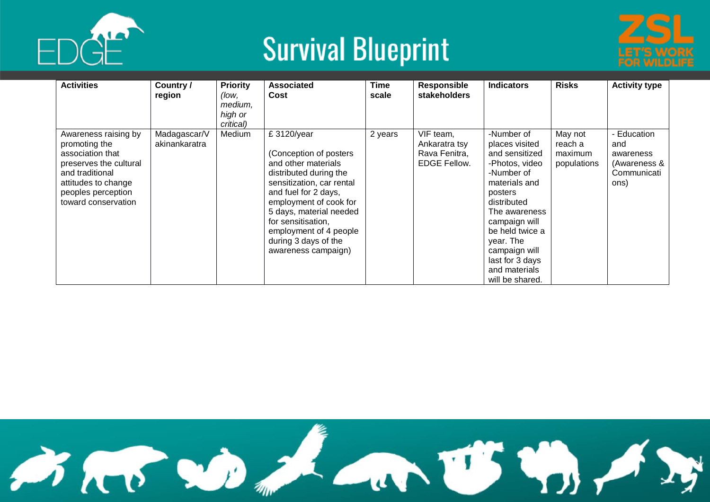



| <b>Activities</b>                                                                                                                                                          | Country /<br>region           | <b>Priority</b><br>(low,<br>medium,<br>high or<br>critical) | <b>Associated</b><br>Cost                                                                                                                                                                                                                                                                       | <b>Time</b><br>scale | <b>Responsible</b><br>stakeholders                                 | <b>Indicators</b>                                                                                                                                                                                                                                                   | <b>Risks</b>                                 | <b>Activity type</b>                                                   |
|----------------------------------------------------------------------------------------------------------------------------------------------------------------------------|-------------------------------|-------------------------------------------------------------|-------------------------------------------------------------------------------------------------------------------------------------------------------------------------------------------------------------------------------------------------------------------------------------------------|----------------------|--------------------------------------------------------------------|---------------------------------------------------------------------------------------------------------------------------------------------------------------------------------------------------------------------------------------------------------------------|----------------------------------------------|------------------------------------------------------------------------|
| Awareness raising by<br>promoting the<br>association that<br>preserves the cultural<br>and traditional<br>attitudes to change<br>peoples perception<br>toward conservation | Madagascar/V<br>akinankaratra | Medium                                                      | £ 3120/year<br>(Conception of posters<br>and other materials<br>distributed during the<br>sensitization, car rental<br>and fuel for 2 days,<br>employment of cook for<br>5 days, material needed<br>for sensitisation,<br>employment of 4 people<br>during 3 days of the<br>awareness campaign) | 2 years              | VIF team,<br>Ankaratra tsv<br>Rava Fenitra,<br><b>EDGE Fellow.</b> | -Number of<br>places visited<br>and sensitized<br>-Photos, video<br>-Number of<br>materials and<br>posters<br>distributed<br>The awareness<br>campaign will<br>be held twice a<br>year. The<br>campaign will<br>last for 3 days<br>and materials<br>will be shared. | May not<br>reach a<br>maximum<br>populations | - Education<br>and<br>awareness<br>(Awareness &<br>Communicati<br>ons) |

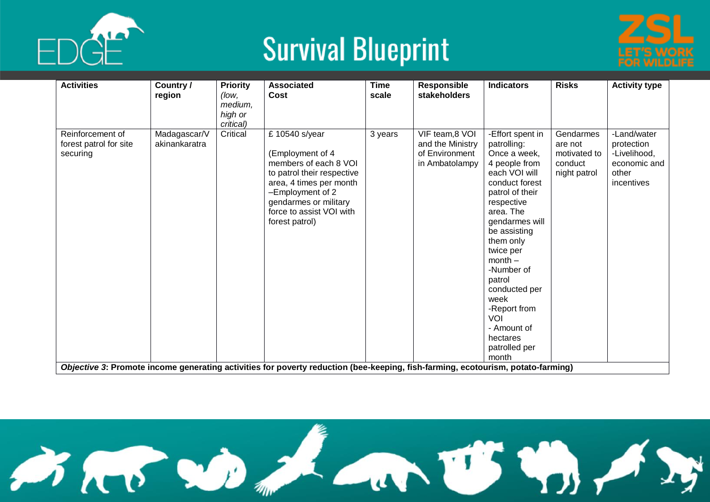



| <b>Activities</b>                                      | Country /<br>region           | <b>Priority</b><br>(low.<br>medium,<br>high or<br>critical) | <b>Associated</b><br>Cost                                                                                                                                                                                       | <b>Time</b><br>scale | <b>Responsible</b><br>stakeholders                                      | <b>Indicators</b>                                                                                                                                                                                                                                                                                                                                       | <b>Risks</b>                                                    | <b>Activity type</b>                                                             |
|--------------------------------------------------------|-------------------------------|-------------------------------------------------------------|-----------------------------------------------------------------------------------------------------------------------------------------------------------------------------------------------------------------|----------------------|-------------------------------------------------------------------------|---------------------------------------------------------------------------------------------------------------------------------------------------------------------------------------------------------------------------------------------------------------------------------------------------------------------------------------------------------|-----------------------------------------------------------------|----------------------------------------------------------------------------------|
| Reinforcement of<br>forest patrol for site<br>securing | Madagascar/V<br>akinankaratra | Critical                                                    | £ 10540 s/year<br>(Employment of 4<br>members of each 8 VOI<br>to patrol their respective<br>area, 4 times per month<br>-Employment of 2<br>gendarmes or military<br>force to assist VOI with<br>forest patrol) | 3 years              | VIF team, 8 VOI<br>and the Ministry<br>of Environment<br>in Ambatolampy | -Effort spent in<br>patrolling:<br>Once a week,<br>4 people from<br>each VOI will<br>conduct forest<br>patrol of their<br>respective<br>area. The<br>gendarmes will<br>be assisting<br>them only<br>twice per<br>$month -$<br>-Number of<br>patrol<br>conducted per<br>week<br>-Report from<br>VOI<br>- Amount of<br>hectares<br>patrolled per<br>month | Gendarmes<br>are not<br>motivated to<br>conduct<br>night patrol | -Land/water<br>protection<br>-Livelihood,<br>economic and<br>other<br>incentives |
|                                                        |                               |                                                             | Objective 3: Promote income generating activities for poverty reduction (bee-keeping, fish-farming, ecotourism, potato-farming)                                                                                 |                      |                                                                         |                                                                                                                                                                                                                                                                                                                                                         |                                                                 |                                                                                  |

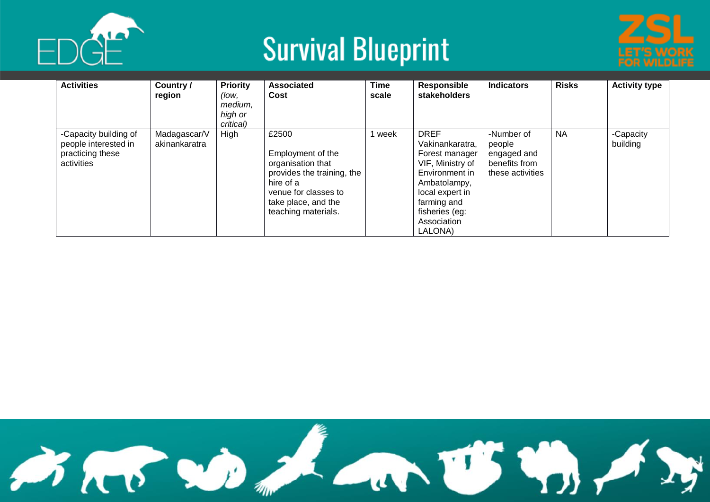



| <b>Activities</b>                                                               | Country /<br>region           | <b>Priority</b><br>(low.<br>medium,<br>high or<br>critical) | <b>Associated</b><br>Cost                                                                                                                                        | <b>Time</b><br>scale | Responsible<br><b>stakeholders</b>                                                                                                                                                   | <b>Indicators</b>                                                        | <b>Risks</b> | <b>Activity type</b>  |
|---------------------------------------------------------------------------------|-------------------------------|-------------------------------------------------------------|------------------------------------------------------------------------------------------------------------------------------------------------------------------|----------------------|--------------------------------------------------------------------------------------------------------------------------------------------------------------------------------------|--------------------------------------------------------------------------|--------------|-----------------------|
| -Capacity building of<br>people interested in<br>practicing these<br>activities | Madagascar/V<br>akinankaratra | High                                                        | £2500<br>Employment of the<br>organisation that<br>provides the training, the<br>hire of a<br>venue for classes to<br>take place, and the<br>teaching materials. | week                 | <b>DREF</b><br>Vakinankaratra,<br>Forest manager<br>VIF, Ministry of<br>Environment in<br>Ambatolampy,<br>local expert in<br>farming and<br>fisheries (eg:<br>Association<br>LALONA) | -Number of<br>people<br>engaged and<br>benefits from<br>these activities | <b>NA</b>    | -Capacity<br>building |

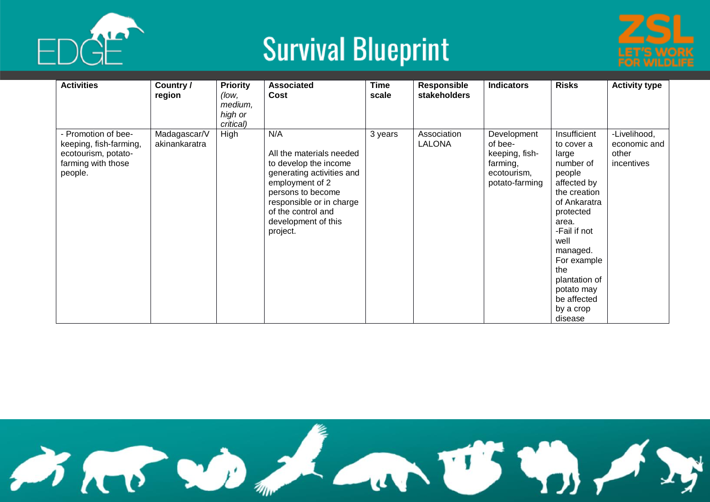



| <b>Activities</b>                                                                                     | Country /<br>region           | <b>Priority</b><br>(low,<br>medium,<br>high or<br>critical) | <b>Associated</b><br>Cost                                                                                                                                                                                          | <b>Time</b><br>scale | Responsible<br>stakeholders  | <b>Indicators</b>                                                                     | <b>Risks</b>                                                                                                                                                                                                                                                    | <b>Activity type</b>                                |
|-------------------------------------------------------------------------------------------------------|-------------------------------|-------------------------------------------------------------|--------------------------------------------------------------------------------------------------------------------------------------------------------------------------------------------------------------------|----------------------|------------------------------|---------------------------------------------------------------------------------------|-----------------------------------------------------------------------------------------------------------------------------------------------------------------------------------------------------------------------------------------------------------------|-----------------------------------------------------|
| - Promotion of bee-<br>keeping, fish-farming,<br>ecotourism, potato-<br>farming with those<br>people. | Madagascar/V<br>akinankaratra | High                                                        | N/A<br>All the materials needed<br>to develop the income<br>generating activities and<br>employment of 2<br>persons to become<br>responsible or in charge<br>of the control and<br>development of this<br>project. | 3 years              | Association<br><b>LALONA</b> | Development<br>of bee-<br>keeping, fish-<br>farming,<br>ecotourism,<br>potato-farming | Insufficient<br>to cover a<br>large<br>number of<br>people<br>affected by<br>the creation<br>of Ankaratra<br>protected<br>area.<br>-Fail if not<br>well<br>managed.<br>For example<br>the<br>plantation of<br>potato may<br>be affected<br>by a crop<br>disease | -Livelihood,<br>economic and<br>other<br>incentives |